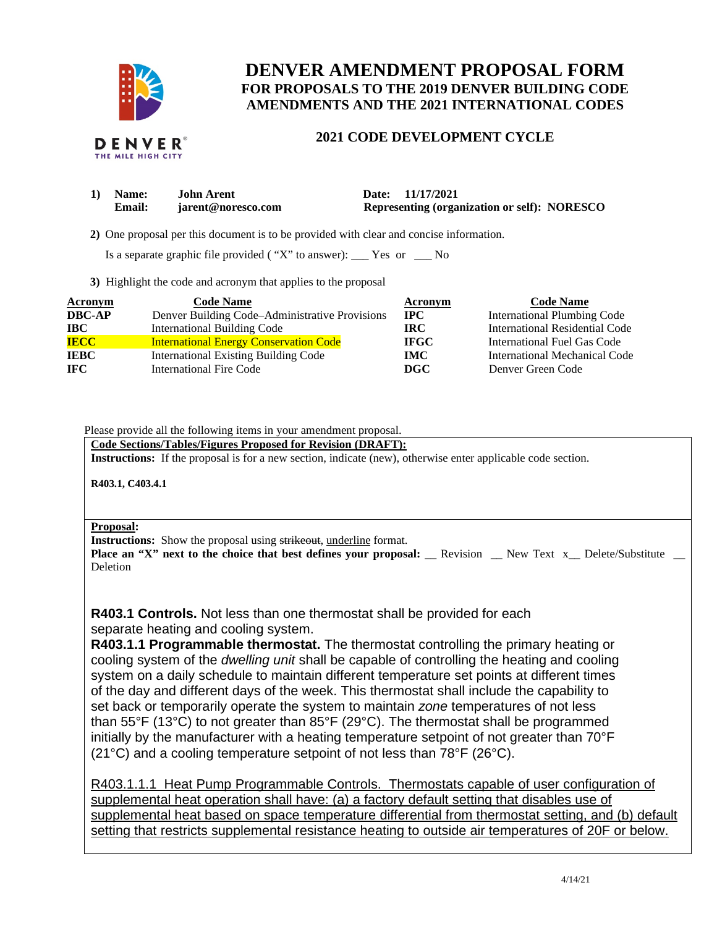

# **DENVER AMENDMENT PROPOSAL FORM FOR PROPOSALS TO THE 2019 DENVER BUILDING CODE AMENDMENTS AND THE 2021 INTERNATIONAL CODES**

### **2021 CODE DEVELOPMENT CYCLE**

| 1) Name:      | John Arent         | Date: 11/17/2021                                    |
|---------------|--------------------|-----------------------------------------------------|
| <b>Email:</b> | jarent@noresco.com | <b>Representing (organization or self): NORESCO</b> |

 **2)** One proposal per this document is to be provided with clear and concise information.

Is a separate graphic file provided ( "X" to answer): \_\_\_ Yes or \_\_\_ No

**3)** Highlight the code and acronym that applies to the proposal

| Acronym       | <b>Code Name</b>                               | Acronym     | <b>Code Name</b>                   |
|---------------|------------------------------------------------|-------------|------------------------------------|
| <b>DBC-AP</b> | Denver Building Code–Administrative Provisions | $\bf{IPC}$  | <b>International Plumbing Code</b> |
| <b>IBC</b>    | <b>International Building Code</b>             | IRC-        | International Residential Code     |
| <b>IECC</b>   | <b>International Energy Conservation Code</b>  | <b>IFGC</b> | International Fuel Gas Code        |
| <b>IEBC</b>   | <b>International Existing Building Code</b>    | <b>IMC</b>  | International Mechanical Code      |
| IFC .         | <b>International Fire Code</b>                 | DGC         | Denver Green Code                  |

Please provide all the following items in your amendment proposal.

**Code Sections/Tables/Figures Proposed for Revision (DRAFT):** 

**Instructions:** If the proposal is for a new section, indicate (new), otherwise enter applicable code section.

**R403.1, C403.4.1** 

#### **Proposal:**

**Instructions:** Show the proposal using strikeout, underline format.

**Place an "X" next to the choice that best defines your proposal: \_\_ Revision \_\_ New Text x\_ Delete/Substitute \_** Deletion

**R403.1 Controls.** Not less than one thermostat shall be provided for each separate heating and cooling system.

**R403.1.1 Programmable thermostat.** The thermostat controlling the primary heating or cooling system of the *dwelling unit* shall be capable of controlling the heating and cooling system on a daily schedule to maintain different temperature set points at different times of the day and different days of the week. This thermostat shall include the capability to set back or temporarily operate the system to maintain *zone* temperatures of not less than 55°F (13°C) to not greater than 85°F (29°C). The thermostat shall be programmed initially by the manufacturer with a heating temperature setpoint of not greater than 70°F (21°C) and a cooling temperature setpoint of not less than 78°F (26°C).

R403.1.1.1 Heat Pump Programmable Controls. Thermostats capable of user configuration of supplemental heat operation shall have: (a) a factory default setting that disables use of supplemental heat based on space temperature differential from thermostat setting, and (b) default setting that restricts supplemental resistance heating to outside air temperatures of 20F or below.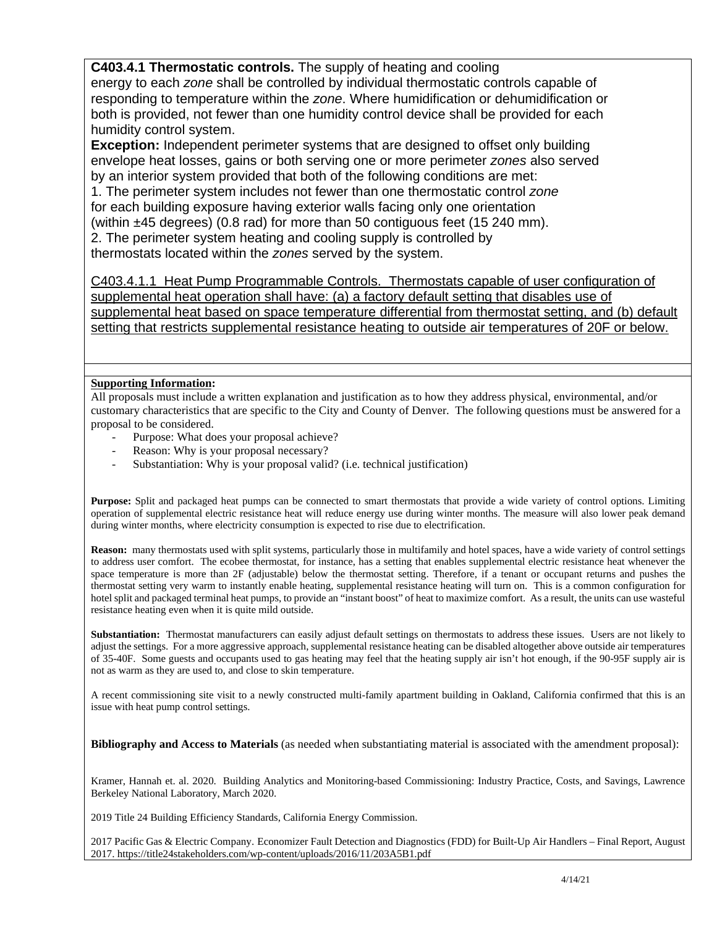## **C403.4.1 Thermostatic controls.** The supply of heating and cooling

energy to each *zone* shall be controlled by individual thermostatic controls capable of responding to temperature within the *zone*. Where humidification or dehumidification or both is provided, not fewer than one humidity control device shall be provided for each humidity control system.

**Exception:** Independent perimeter systems that are designed to offset only building envelope heat losses, gains or both serving one or more perimeter *zones* also served by an interior system provided that both of the following conditions are met:

1. The perimeter system includes not fewer than one thermostatic control *zone*  for each building exposure having exterior walls facing only one orientation (within ±45 degrees) (0.8 rad) for more than 50 contiguous feet (15 240 mm). 2. The perimeter system heating and cooling supply is controlled by

thermostats located within the *zones* served by the system.

C403.4.1.1 Heat Pump Programmable Controls. Thermostats capable of user configuration of supplemental heat operation shall have: (a) a factory default setting that disables use of supplemental heat based on space temperature differential from thermostat setting, and (b) default setting that restricts supplemental resistance heating to outside air temperatures of 20F or below.

### **Supporting Information:**

All proposals must include a written explanation and justification as to how they address physical, environmental, and/or customary characteristics that are specific to the City and County of Denver. The following questions must be answered for a proposal to be considered.

- Purpose: What does your proposal achieve?
- Reason: Why is your proposal necessary?
- Substantiation: Why is your proposal valid? (i.e. technical justification)

**Purpose:** Split and packaged heat pumps can be connected to smart thermostats that provide a wide variety of control options. Limiting operation of supplemental electric resistance heat will reduce energy use during winter months. The measure will also lower peak demand during winter months, where electricity consumption is expected to rise due to electrification.

**Reason:** many thermostats used with split systems, particularly those in multifamily and hotel spaces, have a wide variety of control settings to address user comfort. The ecobee thermostat, for instance, has a setting that enables supplemental electric resistance heat whenever the space temperature is more than 2F (adjustable) below the thermostat setting. Therefore, if a tenant or occupant returns and pushes the thermostat setting very warm to instantly enable heating, supplemental resistance heating will turn on. This is a common configuration for hotel split and packaged terminal heat pumps, to provide an "instant boost" of heat to maximize comfort. As a result, the units can use wasteful resistance heating even when it is quite mild outside.

**Substantiation:** Thermostat manufacturers can easily adjust default settings on thermostats to address these issues. Users are not likely to adjust the settings. For a more aggressive approach, supplemental resistance heating can be disabled altogether above outside air temperatures of 35-40F. Some guests and occupants used to gas heating may feel that the heating supply air isn't hot enough, if the 90-95F supply air is not as warm as they are used to, and close to skin temperature.

A recent commissioning site visit to a newly constructed multi-family apartment building in Oakland, California confirmed that this is an issue with heat pump control settings.

**Bibliography and Access to Materials** (as needed when substantiating material is associated with the amendment proposal):

Kramer, Hannah et. al. 2020. Building Analytics and Monitoring-based Commissioning: Industry Practice, Costs, and Savings, Lawrence Berkeley National Laboratory, March 2020.

2019 Title 24 Building Efficiency Standards, California Energy Commission.

2017 Pacific Gas & Electric Company. Economizer Fault Detection and Diagnostics (FDD) for Built-Up Air Handlers – Final Report, August 2017. https://title24stakeholders.com/wp-content/uploads/2016/11/203A5B1.pdf